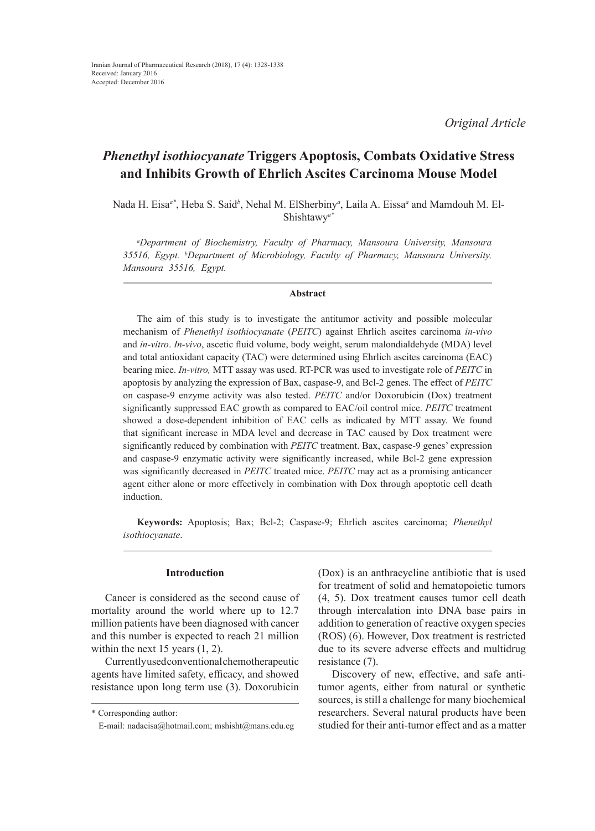*Original Article*

# *Phenethyl isothiocyanate* **Triggers Apoptosis, Combats Oxidative Stress and Inhibits Growth of Ehrlich Ascites Carcinoma Mouse Model**

Nada H. Eisa*a\**, Heba S. Said*<sup>b</sup>* , Nehal M. ElSherbiny*<sup>a</sup>* , Laila A. Eissa*<sup>a</sup>* and Mamdouh M. El-Shishtawy*a\**

*a Department of Biochemistry, Faculty of Pharmacy, Mansoura University, Mansoura 35516, Egypt. b Department of Microbiology, Faculty of Pharmacy, Mansoura University, Mansoura 35516, Egypt.*

## **Abstract**

The aim of this study is to investigate the antitumor activity and possible molecular mechanism of *Phenethyl isothiocyanate* (*PEITC*) against Ehrlich ascites carcinoma *in-vivo* and *in-vitro*. *In-vivo*, ascetic fluid volume, body weight, serum malondialdehyde (MDA) level and total antioxidant capacity (TAC) were determined using Ehrlich ascites carcinoma (EAC) bearing mice. *In-vitro,* MTT assay was used. RT-PCR was used to investigate role of *PEITC* in apoptosis by analyzing the expression of Bax, caspase-9, and Bcl-2 genes. The effect of *PEITC* on caspase-9 enzyme activity was also tested. *PEITC* and/or Doxorubicin (Dox) treatment significantly suppressed EAC growth as compared to EAC/oil control mice. *PEITC* treatment showed a dose-dependent inhibition of EAC cells as indicated by MTT assay. We found that significant increase in MDA level and decrease in TAC caused by Dox treatment were significantly reduced by combination with *PEITC* treatment. Bax, caspase-9 genes' expression and caspase-9 enzymatic activity were significantly increased, while Bcl-2 gene expression was significantly decreased in *PEITC* treated mice. *PEITC* may act as a promising anticancer agent either alone or more effectively in combination with Dox through apoptotic cell death induction.

**Keywords:** Apoptosis; Bax; Bcl-2; Caspase-9; Ehrlich ascites carcinoma; *Phenethyl isothiocyanate*.

# **Introduction**

Cancer is considered as the second cause of mortality around the world where up to 12.7 million patients have been diagnosed with cancer and this number is expected to reach 21 million within the next 15 years  $(1, 2)$ .

Currently used conventional chemotherapeutic agents have limited safety, efficacy, and showed resistance upon long term use (3). Doxorubicin (Dox) is an anthracycline antibiotic that is used for treatment of solid and hematopoietic tumors (4, 5). Dox treatment causes tumor cell death through intercalation into DNA base pairs in addition to generation of reactive oxygen species (ROS) (6). However, Dox treatment is restricted due to its severe adverse effects and multidrug resistance (7).

Discovery of new, effective, and safe antitumor agents, either from natural or synthetic sources, is still a challenge for many biochemical researchers. Several natural products have been studied for their anti-tumor effect and as a matter

<sup>\*</sup> Corresponding author:

E-mail: nadaeisa@hotmail.com; mshisht@mans.edu.eg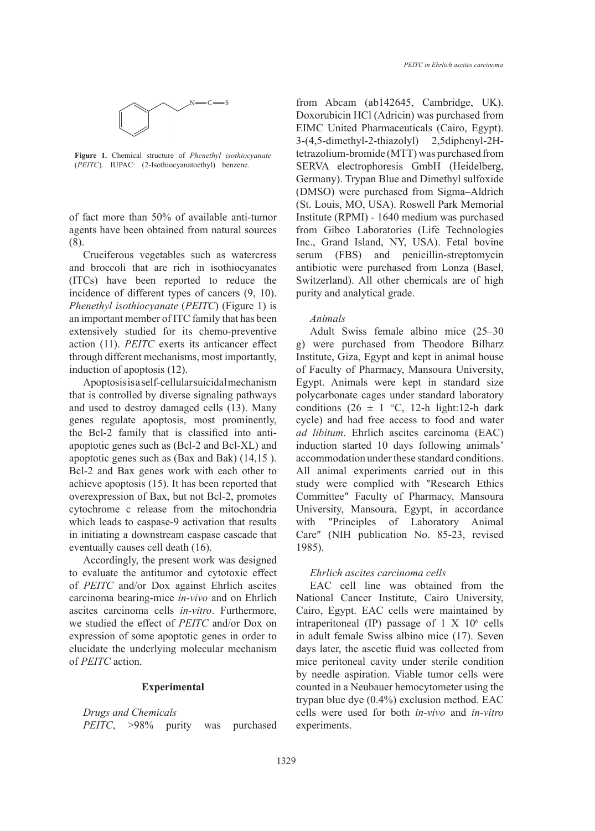

**Figure 1.** Chemical structure of *Phenethyl isothiocyanate* **(***PEITCALOII*) (*PEITC*). IUPAC: (2-Isothiocyanatoethyl) benzene.

of fact more than 50% of available anti-tumor Institute agents have been obtained from natural sources from Gi (8).  $\sum_{i=1}^{\infty}$ 

Cruciferous vegetables such as watercress and broccoli that are rich in isothiocyanates antibiotic (ITCs) have been reported to reduce the Switzerla incidence of different types of cancers (9, 10). *Phenethyl isothiocyanate* (*PEITC*) (Figure 1) is an important member of ITC family that has been extensively studied for its chemo-preventive Adult action (11). *PEITC* exerts its anticancer effect g) were through different mechanisms, most importantly, in origin anterest mechanisms, most importantly, *institute*, induction of apoptosis (12). of *F*acult

Apoptosis is a self-cellular suicidal mechanism Egypt.  $A$ that is controlled by diverse signaling pathways and used to destroy damaged cells (13). Many genes regulate apoptosis, most prominently, the Bcl-2 family that is classified into antiapoptotic genes such as (Bcl-2 and Bcl-XL) and apoptotic genes such as (Bax and Bak) (14,15 ). *PERICE SUCH AND CAMP CHANGE FROM CHANGE FROM ABCCOMMN* achieve apoptosis (15). It has been reported that study wo overexpression of Bax, but not Bcl-2, promotes  $\frac{1}{2}$  cytochrome c release from the mitochondria University which leads to caspase-9 activation that results with "I in initiating a downstream caspase cascade that eventually causes cell death (16). 4 of *PEITC* action.

> Accordingly, the present work was designed to evaluate the antitumor and cytotoxic effect of *PEITC* and/or Dox against Ehrlich ascites carcinoma bearing-mice *in-vivo* and on Ehrlich ascites carcinoma cells *in-vitro*. Furthermore, we studied the effect of *PEITC* and/or Dox on expression of some apoptotic genes in order to elucidate the underlying molecular mechanism of *PEITC* action.

## **Experimental**

*Drugs and Chemicals PEITC*, >98% purity was purchased

from Abcam (ab142645, Cambridge, UK). Doxorubicin HCl (Adricin) was purchased from EIMC United Pharmaceuticals (Cairo, Egypt). 3-(4,5-dimethyl-2-thiazolyl) 2,5diphenyl-2Htetrazolium-bromide (MTT) was purchased from SERVA electrophoresis GmbH (Heidelberg, Germany). Trypan Blue and Dimethyl sulfoxide (DMSO) were purchased from Sigma–Aldrich (St. Louis, MO, USA). Roswell Park Memorial Institute (RPMI) - 1640 medium was purchased from Gibco Laboratories (Life Technologies Inc., Grand Island, NY, USA). Fetal bovine serum (FBS) and penicillin-streptomycin antibiotic were purchased from Lonza (Basel, Switzerland). All other chemicals are of high purity and analytical grade.

#### *Animals*

Adult Swiss female albino mice (25–30 g) were purchased from Theodore Bilharz Institute, Giza, Egypt and kept in animal house of Faculty of Pharmacy, Mansoura University, Egypt. Animals were kept in standard size polycarbonate cages under standard laboratory conditions (26  $\pm$  1 °C, 12-h light:12-h dark cycle) and had free access to food and water *ad libitum*. Ehrlich ascites carcinoma (EAC) induction started 10 days following animals' accommodation under these standard conditions. All animal experiments carried out in this study were complied with ″Research Ethics Committee″ Faculty of Pharmacy, Mansoura University, Mansoura, Egypt, in accordance with ″Principles of Laboratory Animal Care″ (NIH publication No. 85-23, revised 1985).

#### *Ehrlich ascites carcinoma cells*

EAC cell line was obtained from the National Cancer Institute, Cairo University, Cairo, Egypt. EAC cells were maintained by intraperitoneal (IP) passage of  $1 \times 10^6$  cells in adult female Swiss albino mice (17). Seven days later, the ascetic fluid was collected from mice peritoneal cavity under sterile condition by needle aspiration. Viable tumor cells were counted in a Neubauer hemocytometer using the trypan blue dye (0.4%) exclusion method. EAC cells were used for both *in-vivo* and *in-vitro* experiments.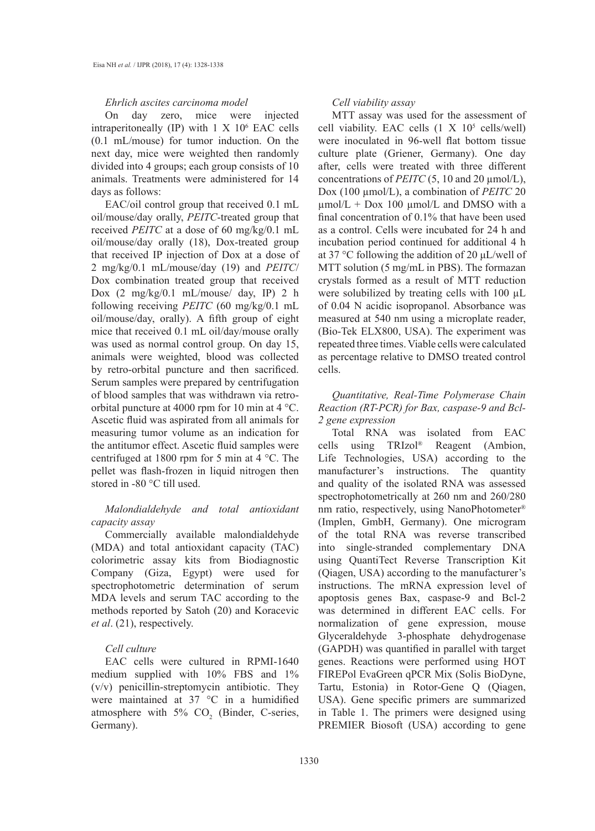#### *Ehrlich ascites carcinoma model*

On day zero, mice were injected intraperitoneally (IP) with  $1 \times 10^6$  EAC cells (0.1 mL/mouse) for tumor induction. On the next day, mice were weighted then randomly divided into 4 groups; each group consists of 10 animals. Treatments were administered for 14 days as follows:

EAC/oil control group that received 0.1 mL oil/mouse/day orally, *PEITC*-treated group that received *PEITC* at a dose of 60 mg/kg/0.1 mL oil/mouse/day orally (18), Dox-treated group that received IP injection of Dox at a dose of 2 mg/kg/0.1 mL/mouse/day (19) and *PEITC*/ Dox combination treated group that received Dox (2 mg/kg/0.1 mL/mouse/ day, IP) 2 h following receiving *PEITC* (60 mg/kg/0.1 mL oil/mouse/day, orally). A fifth group of eight mice that received 0.1 mL oil/day/mouse orally was used as normal control group. On day 15, animals were weighted, blood was collected by retro-orbital puncture and then sacrificed. Serum samples were prepared by centrifugation of blood samples that was withdrawn via retroorbital puncture at 4000 rpm for 10 min at 4 °C. Ascetic fluid was aspirated from all animals for measuring tumor volume as an indication for the antitumor effect. Ascetic fluid samples were centrifuged at 1800 rpm for 5 min at 4 °C. The pellet was flash-frozen in liquid nitrogen then stored in -80 °C till used.

# *Malondialdehyde and total antioxidant capacity assay*

Commercially available malondialdehyde (MDA) and total antioxidant capacity (TAC) colorimetric assay kits from Biodiagnostic Company (Giza, Egypt) were used for spectrophotometric determination of serum MDA levels and serum TAC according to the methods reported by Satoh (20) and Koracevic *et al*. (21), respectively.

#### *Cell culture*

EAC cells were cultured in RPMI-1640 medium supplied with 10% FBS and 1% (v/v) penicillin-streptomycin antibiotic. They were maintained at 37 °C in a humidified atmosphere with  $5\%$  CO<sub>2</sub> (Binder, C-series, Germany).

#### *Cell viability assay*

MTT assay was used for the assessment of cell viability. EAC cells  $(1 \times 10^5 \text{ cells/well})$ were inoculated in 96-well flat bottom tissue culture plate (Griener, Germany). One day after, cells were treated with three different concentrations of *PEITC* (5, 10 and 20 µmol/L), Dox (100 µmol/L), a combination of *PEITC* 20  $\mu$ mol/L + Dox 100  $\mu$ mol/L and DMSO with a final concentration of 0.1% that have been used as a control. Cells were incubated for 24 h and incubation period continued for additional 4 h at 37 °C following the addition of 20 μL/well of MTT solution (5 mg/mL in PBS). The formazan crystals formed as a result of MTT reduction were solubilized by treating cells with 100  $\mu$ L of 0.04 N acidic isopropanol. Absorbance was measured at 540 nm using a microplate reader, (Bio-Tek ELX800, USA). The experiment was repeated three times. Viable cells were calculated as percentage relative to DMSO treated control cells.

# *Quantitative, Real-Time Polymerase Chain Reaction (RT-PCR) for Bax, caspase-9 and Bcl-2 gene expression*

Total RNA was isolated from EAC cells using TRIzol® Reagent (Ambion, Life Technologies, USA) according to the manufacturer's instructions. The quantity and quality of the isolated RNA was assessed spectrophotometrically at 260 nm and 260/280 nm ratio, respectively, using NanoPhotometer® (Implen, GmbH, Germany). One microgram of the total RNA was reverse transcribed into single-stranded complementary DNA using QuantiTect Reverse Transcription Kit (Qiagen, USA) according to the manufacturer's instructions. The mRNA expression level of apoptosis genes Bax, caspase-9 and Bcl-2 was determined in different EAC cells. For normalization of gene expression, mouse Glyceraldehyde 3-phosphate dehydrogenase (GAPDH) was quantified in parallel with target genes. Reactions were performed using HOT FIREPol EvaGreen qPCR Mix (Solis BioDyne, Tartu, Estonia) in Rotor-Gene Q (Qiagen, USA). Gene specific primers are summarized in Table 1. The primers were designed using PREMIER Biosoft (USA) according to gene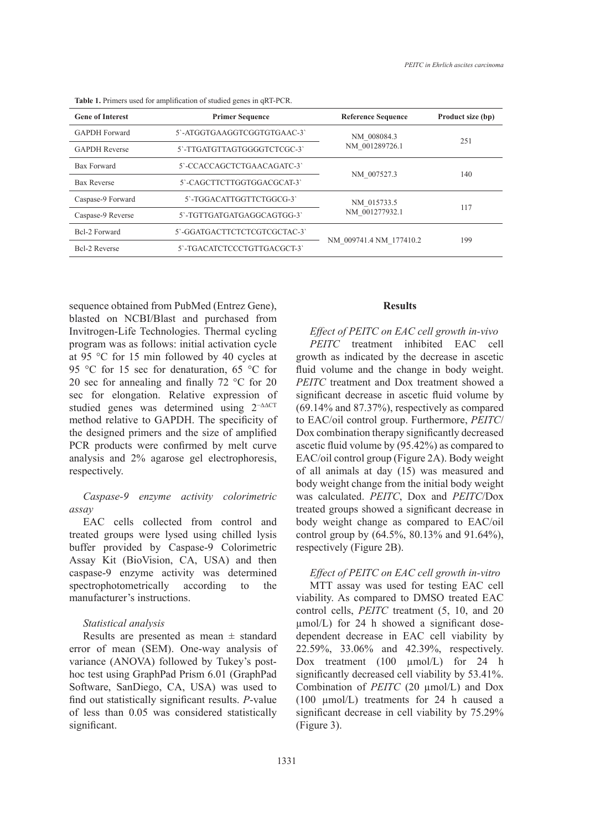| <b>Gene of Interest</b> | <b>Primer Sequence</b>       | <b>Reference Sequence</b>     | Product size (bp) |
|-------------------------|------------------------------|-------------------------------|-------------------|
| <b>GAPDH</b> Forward    | 5'-ATGGTGAAGGTCGGTGTGAAC-3'  | NM 008084.3<br>NM 001289726.1 | 251               |
| <b>GAPDH</b> Reverse    | 5'-TTGATGTTAGTGGGGTCTCGC-3'  |                               |                   |
| <b>Bax Forward</b>      | 5'-CCACCAGCTCTGAACAGATC-3'   | NM 007527.3                   | 140               |
| <b>Bax Reverse</b>      | 5'-CAGCTTCTTGGTGGACGCAT-3'   |                               |                   |
| Caspase-9 Forward       | 5'-TGGACATTGGTTCTGGCG-3'     | NM 015733.5<br>NM 001277932.1 | 117               |
| Caspase-9 Reverse       | 5'-TGTTGATGATGAGGCAGTGG-3'   |                               |                   |
| Bcl-2 Forward           | 5'-GGATGACTTCTCTCGTCGCTAC-3' | NM 009741.4 NM 177410.2       | 199               |
| <b>Bcl-2 Reverse</b>    | 5'-TGACATCTCCCTGTTGACGCT-3'  |                               |                   |
|                         |                              |                               |                   |

**Table 1.** Primers used for amplification of studied genes in qRT-PCR.

sequence obtained from PubMed (Entrez Gene), blasted on NCBI/Blast and purchased from Invitrogen-Life Technologies. Thermal cycling program was as follows: initial activation cycle at 95 °C for 15 min followed by 40 cycles at 95 °C for 15 sec for denaturation, 65 °C for 20 sec for annealing and finally 72 °C for 20 sec for elongation. Relative expression of studied genes was determined using 2−ΔΔCT method relative to GAPDH. The specificity of the designed primers and the size of amplified PCR products were confirmed by melt curve analysis and 2% agarose gel electrophoresis, respectively.

# *Caspase-9 enzyme activity colorimetric assay*

EAC cells collected from control and treated groups were lysed using chilled lysis buffer provided by Caspase-9 Colorimetric Assay Kit (BioVision, CA, USA) and then caspase-9 enzyme activity was determined spectrophotometrically according to the manufacturer's instructions.

## *Statistical analysis*

Results are presented as mean  $\pm$  standard error of mean (SEM). One-way analysis of variance (ANOVA) followed by Tukey's posthoc test using GraphPad Prism 6.01 (GraphPad Software, SanDiego, CA, USA) was used to find out statistically significant results. *P*-value of less than 0.05 was considered statistically significant.

## **Results**

*Effect of PEITC on EAC cell growth in-vivo PEITC* treatment inhibited EAC cell growth as indicated by the decrease in ascetic fluid volume and the change in body weight. *PEITC* treatment and Dox treatment showed a significant decrease in ascetic fluid volume by (69.14% and 87.37%), respectively as compared to EAC/oil control group. Furthermore, *PEITC*/ Dox combination therapy significantly decreased ascetic fluid volume by (95.42%) as compared to EAC/oil control group (Figure 2A). Body weight of all animals at day (15) was measured and body weight change from the initial body weight was calculated. *PEITC*, Dox and *PEITC*/Dox treated groups showed a significant decrease in body weight change as compared to EAC/oil control group by (64.5%, 80.13% and 91.64%), respectively (Figure 2B).

## *Effect of PEITC on EAC cell growth in-vitro*

MTT assay was used for testing EAC cell viability. As compared to DMSO treated EAC control cells, *PEITC* treatment (5, 10, and 20 µmol/L) for 24 h showed a significant dosedependent decrease in EAC cell viability by 22.59%, 33.06% and 42.39%, respectively. Dox treatment (100 µmol/L) for 24 h significantly decreased cell viability by 53.41%. Combination of *PEITC* (20 µmol/L) and Dox (100 µmol/L) treatments for 24 h caused a significant decrease in cell viability by 75.29% (Figure 3).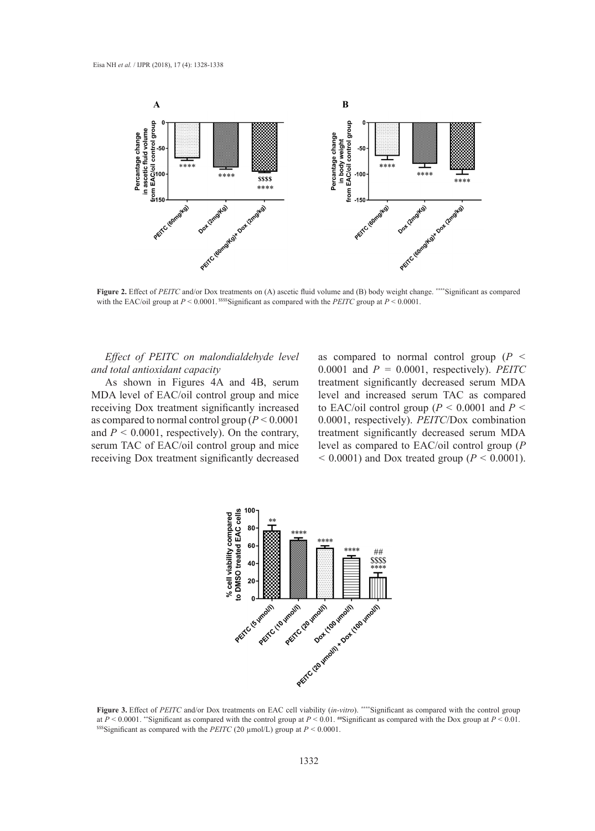

with the EAC/oil group at  $P < 0.0001$ . SSSS Significant as compared with the *PEITC* group at  $P < 0.0001$ . **Figure 2.** Effect of *PEITC* and/or Dox treatments on (A) ascetic fluid volume and (B) body weight change. **\*\*\*\***Significant as compared

Effect of PEITC on malondialdehyde level *and total antioxidant capacity*

As shown in Figures 4A and 4B, serum MDA level of EAC/oil control group and mice level and increased serum TAC receiving Dox treatment significantly increased as compared to normal control group (*P <* 0.0001 and *P <* 0.0001, respectively). On the contrary, serum TAC of EAC/oil control group and mice receiving Dox treatment significantly decreased  $\leq 0.0001$ ) and Dox treated group (

as compared to normal control group (*P <* 0.0001 and *P =* 0.0001, respectively). *PEITC* treatment significantly decreased serum MDA Figures 4A and 4B, serum treatment significantly decreased serum MDA level and increased serum TAC as compared to EAC/oil control group (*P <* 0.0001 and *P <* to normal control group  $(P < 0.0001$  0.0001, respectively). *PEITC*/Dox combination 001, respectively). On the contrary, treatment significantly decreased serum MDA level as compared to EAC/oil control group (*P*   $100001$  and Dox treated group ( $P \le 0.0001$ ).



**Figure 3.** Effect of *PEITC* and/or Dox treatments on EAC cell viability (*in-vitro*). **\*\*\*\***Significant as compared with the control group **Figure 3.** Effect of *PEITC* and/or Dox treatments on EAC cell viability (*m*-vitro). Significant as compared with the control group at  $P < 0.0001$ . "Significant as compared with the Dox group at  $P < 0.01$ .<br>
Sessignifica <sup>SSS</sup>Significant as compared with the *PEITC* (20  $\mu$ mol/L) group at *P* < 0.0001.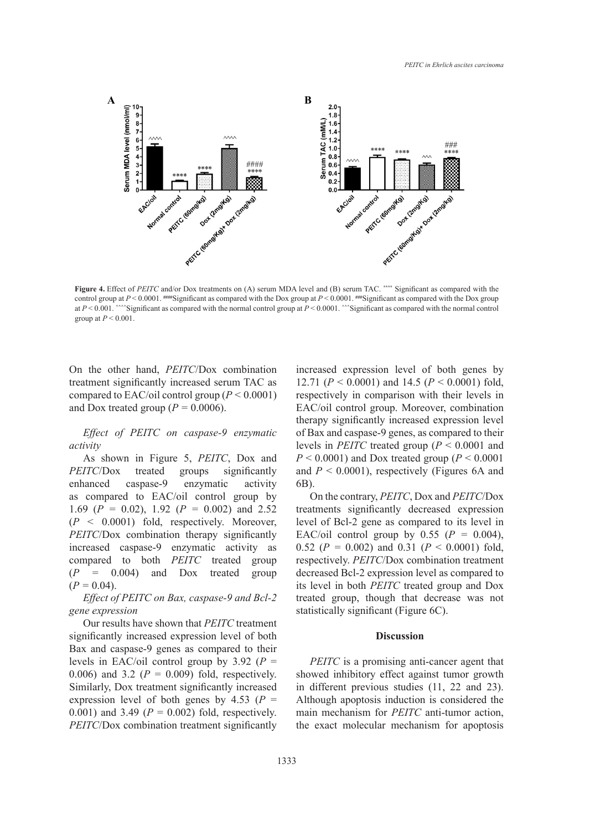

**Figure 4.** Effect of PEITC and/or Dox treatments on (A) serum MDA level and (B) serum TAC. Significant as compared with the Dox group at  $P \le 0.001$ . Has compared with the Dox group at  $P \le 0.001$ . Has compared with the at  $P \le 0.001$ . Analyzing starting as compared with the normal control group at  $P \le 0.0001$ . Analyzing at a compared with the normal control aroun at  $P \le 0.001$  $n_1 \times 0.001$ . **Figure 4.** Effect of *PEITC* and/or Dox treatments on (A) serum MDA level and (B) serum TAC. **\*\*\*\*** Significant as compared with the group at *P* < 0.001.

On the other hand, *PEITC*/Dox combination treatment significantly increased serum TAC as compared to EAC/oil control group (*P <* 0.0001) and Dox treated group ( $P = 0.0006$ ).

*Effect of PEITC on caspase-9 enzymatic activity*

As shown in Figure 5, *PEITC*, Dox and *PEITC*/Dox treated groups significantly enhanced caspase-9 enzymatic activity as compared to EAC/oil control group by 1.69 (*P =* 0.02), 1.92 (*P =* 0.002) and 2.52 (*P <* 0.0001) fold, respectively. Moreover, *PEITC*/Dox combination therapy significantly increased caspase-9 enzymatic activity as compared to both *PEITC* treated group (*P =* 0.004) and Dox treated group  $(P = 0.04)$ .

*Effect of PEITC on Bax, caspase-9 and Bcl-2 gene expression*

Our results have shown that *PEITC* treatment significantly increased expression level of both Bax and caspase-9 genes as compared to their levels in EAC/oil control group by  $3.92$  ( $P =$ 0.006) and 3.2 ( $P = 0.009$ ) fold, respectively. Similarly, Dox treatment significantly increased expression level of both genes by  $4.53$  ( $P =$ 0.001) and 3.49 (*P* = 0.002) fold, respectively. *PEITC*/Dox combination treatment significantly increased expression level of both genes by 12.71 (*P* < 0.0001) and 14.5 (*P* < 0.0001) fold, respectively in comparison with their levels in EAC/oil control group. Moreover, combination therapy significantly increased expression level of Bax and caspase-9 genes, as compared to their levels in *PEITC* treated group (*P* < 0.0001 and  $P \leq 0.0001$ ) and Dox treated group ( $P \leq 0.0001$ ) and  $P < 0.0001$ ), respectively (Figures 6A and 6B).

On the contrary, *PEITC*, Dox and *PEITC*/Dox treatments significantly decreased expression level of Bcl-2 gene as compared to its level in EAC/oil control group by  $0.55$  ( $P = 0.004$ ), 0.52 (*P =* 0.002) and 0.31 (*P* < 0.0001) fold, respectively. *PEITC*/Dox combination treatment decreased Bcl-2 expression level as compared to its level in both *PEITC* treated group and Dox treated group, though that decrease was not statistically significant (Figure 6C).

#### **Discussion**

*PEITC* is a promising anti-cancer agent that showed inhibitory effect against tumor growth in different previous studies (11, 22 and 23). Although apoptosis induction is considered the main mechanism for *PEITC* anti-tumor action, the exact molecular mechanism for apoptosis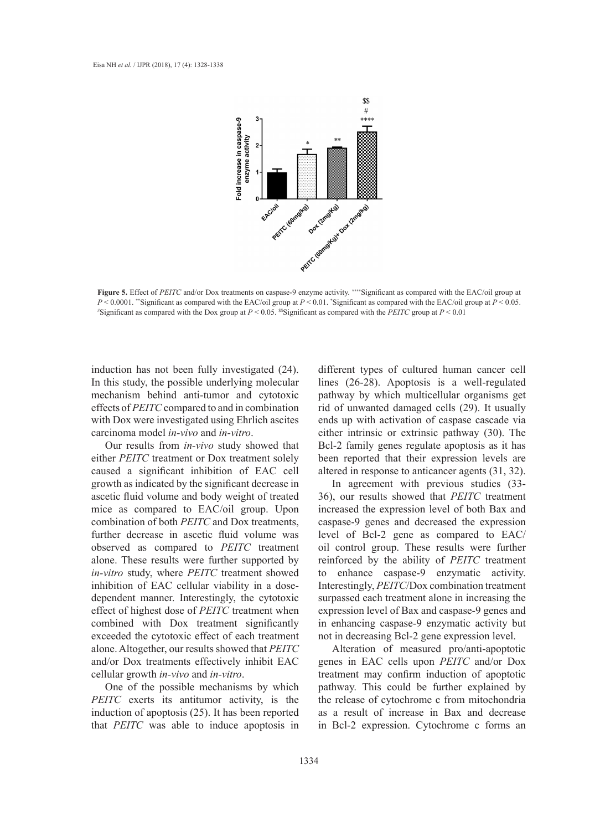

 $P \le 0.0001$ . "Significant as compared with the EAC/oil group at  $P \le 0.01$ . "Significant as compared with the EAC/oil group at  $P \le 0.05$ ."<br>"Significant as compared with the Dox group at  $P \le 0.05$ . <sup>\$\$</sup>Significant as co Significant as compared with the Dox group at  $P < 0.05$ . Significant as compared with the *PEITC* group at  $P < 0.01$ **Figure 5.** Effect of *PEITC* and/or Dox treatments on caspase-9 enzyme activity. **\*\*\*\***Significant as compared with the EAC/oil group at

induction has not been fully investigated (24). In this study, the possible underlying molecular mechanism behind anti-tumor and cytotoxic effects of *PEITC* compared to and in combination with Dox were investigated using Ehrlich ascites carcinoma model *in-vivo* and *in-vitro*.

Our results from *in-vivo* study showed that either *PEITC* treatment or Dox treatment solely caused a significant inhibition of EAC cell growth as indicated by the significant decrease in ascetic fluid volume and body weight of treated mice as compared to EAC/oil group. Upon combination of both *PEITC* and Dox treatments, further decrease in ascetic fluid volume was observed as compared to *PEITC* treatment alone. These results were further supported by *in-vitro* study, where *PEITC* treatment showed inhibition of EAC cellular viability in a dosedependent manner. Interestingly, the cytotoxic effect of highest dose of *PEITC* treatment when combined with Dox treatment significantly exceeded the cytotoxic effect of each treatment alone. Altogether, our results showed that *PEITC* and/or Dox treatments effectively inhibit EAC cellular growth *in-vivo* and *in-vitro*.

One of the possible mechanisms by which *PEITC* exerts its antitumor activity, is the induction of apoptosis (25). It has been reported that *PEITC* was able to induce apoptosis in

different types of cultured human cancer cell lines (26-28). Apoptosis is a well-regulated pathway by which multicellular organisms get rid of unwanted damaged cells (29). It usually ends up with activation of caspase cascade via either intrinsic or extrinsic pathway (30). The Bcl-2 family genes regulate apoptosis as it has been reported that their expression levels are altered in response to anticancer agents (31, 32).

In agreement with previous studies (33- 36), our results showed that *PEITC* treatment increased the expression level of both Bax and caspase-9 genes and decreased the expression level of Bcl-2 gene as compared to EAC/ oil control group. These results were further reinforced by the ability of *PEITC* treatment enhance caspase-9 enzymatic activity. Interestingly, *PEITC*/Dox combination treatment surpassed each treatment alone in increasing the expression level of Bax and caspase-9 genes and in enhancing caspase-9 enzymatic activity but not in decreasing Bcl-2 gene expression level.

Alteration of measured pro/anti-apoptotic genes in EAC cells upon *PEITC* and/or Dox treatment may confirm induction of apoptotic pathway. This could be further explained by the release of cytochrome c from mitochondria as a result of increase in Bax and decrease in Bcl-2 expression. Cytochrome c forms an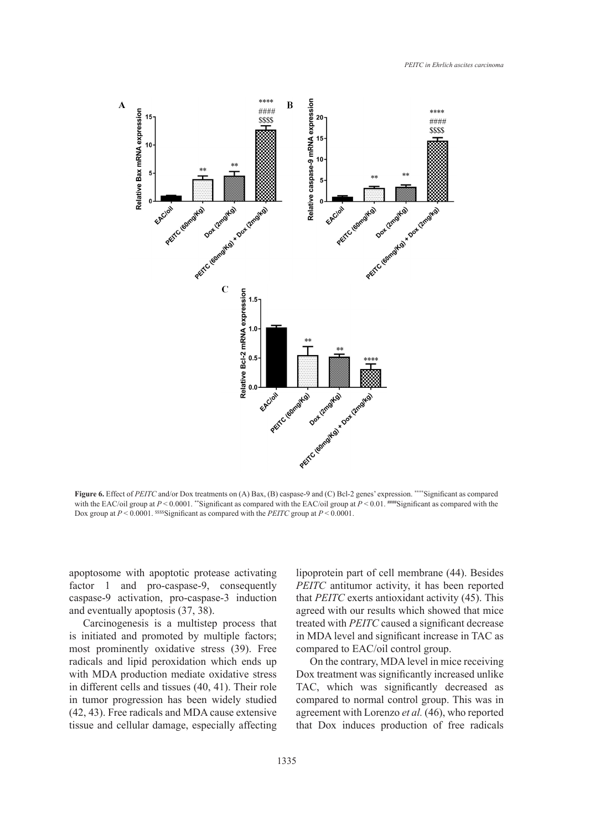

**Figure 6.** Effect of *PEITC* and/or Dox treatments on (A) Bax, (B) caspase-9 and (C) Bcl-2 genes' expression. **\*\*\*\***Significant as compared with the EAC/oil group at  $P < 0.0001$ . \*\*Significant as compared with the EAC/oil group at  $P < 0.01$ . **###\$**Significant as compared with the Dox group at  $P < 0.0001$ . SSSS Significant as compared with the *PEITC* group at  $P < 0.0001$ . expression. **Expression. \*\*\***  $\frac{1}{2}$  **EXEC/OIL**  $\frac{1}{2}$   $\frac{1}{2}$   $\frac{1}{2}$   $\frac{1}{2}$   $\frac{1}{2}$   $\frac{1}{2}$   $\frac{1}{2}$   $\frac{1}{2}$   $\frac{1}{2}$   $\frac{1}{2}$   $\frac{1}{2}$   $\frac{1}{2}$   $\frac{1}{2}$   $\frac{1}{2}$   $\frac{1}{2}$   $\frac{1}{2}$   $\frac{1}{2}$ 

apoptosome with apoptotic protease activating factor 1 and pro-caspase-9, consequently caspase-9 activation, pro-caspase-3 induction and eventually apoptosis (37, 38).

Carcinogenesis is a multistep process that is initiated and promoted by multiple factors; most prominently oxidative stress (39). Free radicals and lipid peroxidation which ends up with MDA production mediate oxidative stress in different cells and tissues (40, 41). Their role in tumor progression has been widely studied (42, 43). Free radicals and MDA cause extensive tissue and cellular damage, especially affecting lipoprotein part of cell membrane (44). Besides *PEITC* antitumor activity, it has been reported that *PEITC* exerts antioxidant activity (45). This agreed with our results which showed that mice treated with *PEITC* caused a significant decrease in MDA level and significant increase in TAC as compared to EAC/oil control group.

On the contrary, MDA level in mice receiving Dox treatment was significantly increased unlike TAC, which was significantly decreased as compared to normal control group. This was in agreement with Lorenzo *et al.* (46), who reported that Dox induces production of free radicals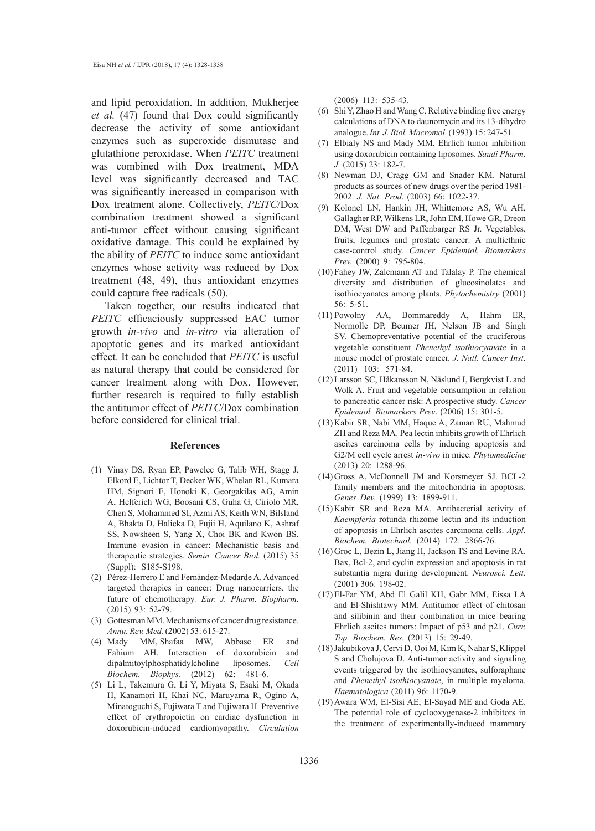and lipid peroxidation. In addition, Mukherjee *et al.* (47) found that Dox could significantly decrease the activity of some antioxidant enzymes such as superoxide dismutase and glutathione peroxidase. When *PEITC* treatment was combined with Dox treatment, MDA level was significantly decreased and TAC was significantly increased in comparison with Dox treatment alone. Collectively, *PEITC*/Dox combination treatment showed a significant anti-tumor effect without causing significant oxidative damage. This could be explained by the ability of *PEITC* to induce some antioxidant enzymes whose activity was reduced by Dox treatment (48, 49), thus antioxidant enzymes could capture free radicals (50).

Taken together, our results indicated that *PEITC* efficaciously suppressed EAC tumor growth *in-vivo* and *in-vitro* via alteration of apoptotic genes and its marked antioxidant effect. It can be concluded that *PEITC* is useful as natural therapy that could be considered for cancer treatment along with Dox. However, further research is required to fully establish the antitumor effect of *PEITC*/Dox combination before considered for clinical trial.

#### **References**

- Vinay DS, Ryan EP, Pawelec G, Talib WH, Stagg J, (1) Elkord E, Lichtor T, Decker WK, Whelan RL, Kumara HM, Signori E, Honoki K, Georgakilas AG, Amin A, Helferich WG, Boosani CS, Guha G, Ciriolo MR, Chen S, Mohammed SI, Azmi AS, Keith WN, Bilsland A, Bhakta D, Halicka D, Fujii H, Aquilano K, Ashraf SS, Nowsheen S, Yang X, Choi BK and Kwon BS. Immune evasion in cancer: Mechanistic basis and therapeutic strategies. *Semin. Cancer Biol.* (2015) 35 (Suppl): S185-S198.
- Pérez-Herrero E and Fernández-Medarde A. Advanced (2) targeted therapies in cancer: Drug nanocarriers, the future of chemotherapy*. Eur. J. Pharm. Biopharm.* (2015) 93: 52-79.
- (3) Gottesman MM. Mechanisms of cancer drug resistance. *Annu. Rev. Med.* (2002) 53: 615-27.
- Mady MM, Shafaa MW, Abbase ER and (4) Fahium AH. Interaction of doxorubicin and dipalmitoylphosphatidylcholine liposomes. *Cell Biochem. Biophys.* (2012) 62: 481-6.
- Li L, Takemura G, Li Y, Miyata S, Esaki M, Okada (5) H, Kanamori H, Khai NC, Maruyama R, Ogino A, Minatoguchi S, Fujiwara T and Fujiwara H. Preventive effect of erythropoietin on cardiac dysfunction in doxorubicin-induced cardiomyopathy. *Circulation*

(2006) 113: 535-43.

- Shi Y, Zhao H and Wang C. Relative binding free energy calculations of DNA to daunomycin and its 13-dihydro analogue. *Int. J. Biol. Macromol.* (1993) 15: 247-51. (6)
- Elbialy NS and Mady MM. Ehrlich tumor inhibition (7) using doxorubicin containing liposomes. *Saudi Pharm. J.* (2015) 23: 182-7.
- (8) Newman DJ, Cragg GM and Snader KM. Natural products as sources of new drugs over the period 1981- 2002. *J. Nat. Prod*. (2003) 66: 1022-37.
- (9) Kolonel LN, Hankin JH, Whittemore AS, Wu AH, Gallagher RP, Wilkens LR, John EM, Howe GR, Dreon DM, West DW and Paffenbarger RS Jr. Vegetables, fruits, legumes and prostate cancer: A multiethnic case-control study. *Cancer Epidemiol. Biomarkers Prev.* (2000) 9: 795-804.
- $(10)$  Fahey JW, Zalcmann AT and Talalay P. The chemical diversity and distribution of glucosinolates and isothiocyanates among plants. *Phytochemistry* (2001) 56: 5-51.
- (11) Powolny AA, Bommareddy A, Hahm ER, Normolle DP, Beumer JH, Nelson JB and Singh SV. Chemopreventative potential of the cruciferous vegetable constituent *Phenethyl isothiocyanate* in a mouse model of prostate cancer. *J. Natl. Cancer Inst.* (2011) 103: 571-84.
- Larsson SC, Håkansson N, Näslund I, Bergkvist L and (12) Wolk A. Fruit and vegetable consumption in relation to pancreatic cancer risk: A prospective study. *Cancer Epidemiol. Biomarkers Prev*. (2006) 15: 301-5.
- (13) Kabir SR, Nabi MM, Haque A, Zaman RU, Mahmud ZH and Reza MA. Pea lectin inhibits growth of Ehrlich ascites carcinoma cells by inducing apoptosis and G2/M cell cycle arrest *in-vivo* in mice. *Phytomedicine* (2013) 20: 1288-96.
- (14) Gross A, McDonnell JM and Korsmeyer SJ. BCL-2 family members and the mitochondria in apoptosis. *Genes Dev.* (1999) 13: 1899-911.
- $(15)$  Kabir SR and Reza MA. Antibacterial activity of *Kaempferia* rotunda rhizome lectin and its induction of apoptosis in Ehrlich ascites carcinoma cells. *Appl. Biochem. Biotechnol.* (2014) 172: 2866-76.
- (16) Groc L, Bezin L, Jiang H, Jackson TS and Levine RA. Bax, Bcl-2, and cyclin expression and apoptosis in rat substantia nigra during development. *Neurosci. Lett.* (2001) 306: 198-02.
- El-Far YM, Abd El Galil KH, Gabr MM, Eissa LA (17) and El-Shishtawy MM. Antitumor effect of chitosan and silibinin and their combination in mice bearing Ehrlich ascites tumors: Impact of p53 and p21. *Curr. Top. Biochem. Res.* (2013) 15: 29-49.
- (18) Jakubikova J, Cervi D, Ooi M, Kim K, Nahar S, Klippel S and Cholujova D. Anti-tumor activity and signaling events triggered by the isothiocyanates, sulforaphane and *Phenethyl isothiocyanate*, in multiple myeloma. *Haematologica* (2011) 96: 1170-9.
- (19) Awara WM, El-Sisi AE, El-Sayad ME and Goda AE. The potential role of cyclooxygenase-2 inhibitors in the treatment of experimentally-induced mammary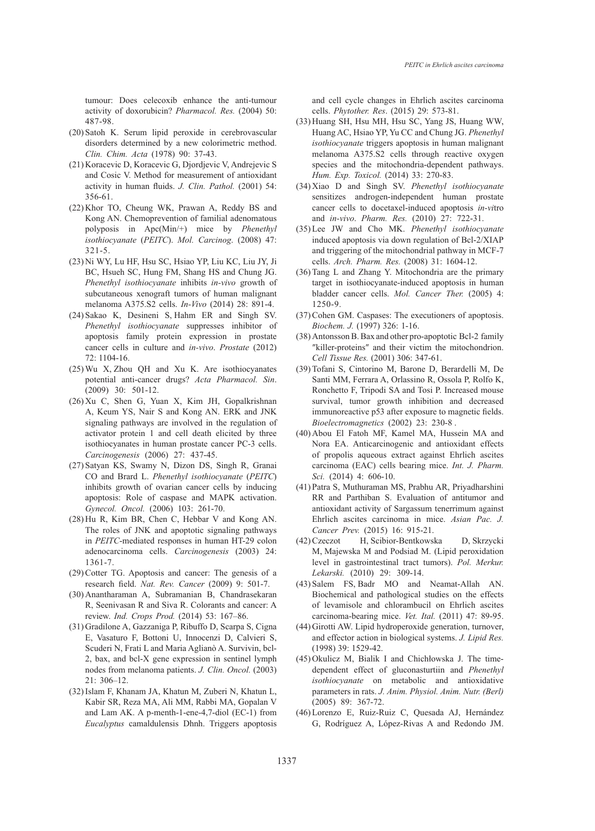tumour: Does celecoxib enhance the anti-tumour activity of doxorubicin? *Pharmacol. Res.* (2004) 50: 487-98.

- $(20)$  Satoh K. Serum lipid peroxide in cerebrovascular disorders determined by a new colorimetric method. *Clin. Chim. Acta* (1978) 90: 37-43.
- (21) Koracevic D, Koracevic G, Djordjevic V, Andrejevic S and Cosic V. Method for measurement of antioxidant activity in human fluids. *J. Clin. Pathol.* (2001) 54: 356-61.
- (22) Khor TO, Cheung WK, Prawan A, Reddy BS and Kong AN. Chemoprevention of familial adenomatous polyposis in Apc(Min/+) mice by *Phenethyl isothiocyanate* (*PEITC*). *Mol. Carcinog*. (2008) 47: 321-5.
- Ni WY, Lu HF, Hsu SC, Hsiao YP, Liu KC, Liu JY, Ji (23) BC, Hsueh SC, Hung FM, Shang HS and Chung JG. *Phenethyl isothiocyanate* inhibits *in-vivo* growth of subcutaneous xenograft tumors of human malignant melanoma A375.S2 cells. *In-Vivo* (2014) 28: 891-4.
- $(24)$  Sakao K, Desineni S, Hahm ER and Singh SV. *Phenethyl isothiocyanate* suppresses inhibitor of apoptosis family protein expression in prostate cancer cells in culture and *in-vivo*. *Prostate* (2012)  $72:1104-16$
- $(25)$  Wu X, Zhou QH and Xu K. Are isothiocyanates potential anti-cancer drugs? *Acta Pharmacol. Sin*. (2009) 30: 501-12.
- $(26)$  Xu C, Shen G, Yuan X, Kim JH, Gopalkrishnan A, Keum YS, Nair S and Kong AN. ERK and JNK signaling pathways are involved in the regulation of activator protein 1 and cell death elicited by three isothiocyanates in human prostate cancer PC-3 cells. *Carcinogenesis* (2006) 27: 437-45.
- (27) Satyan KS, Swamy N, Dizon DS, Singh R, Granai CO and Brard L. *Phenethyl isothiocyanate* (*PEITC*) inhibits growth of ovarian cancer cells by inducing apoptosis: Role of caspase and MAPK activation. *Gynecol. Oncol.* (2006) 103: 261-70.
- $(28)$  Hu R, Kim BR, Chen C, Hebbar V and Kong AN. The roles of JNK and apoptotic signaling pathways in *PEITC*-mediated responses in human HT-29 colon adenocarcinoma cells. *Carcinogenesis* (2003) 24: 1361-7.
- $(29)$  Cotter TG. Apoptosis and cancer: The genesis of a research field. *Nat. Rev. Cancer* (2009) 9: 501-7.
- (30) Anantharaman A, Subramanian B, Chandrasekaran R, Seenivasan R and Siva R. Colorants and cancer: A review. *Ind. Crops Prod.* (2014) 53: 167–86.
- (31) Gradilone A, Gazzaniga P, Ribuffo D, Scarpa S, Cigna E, Vasaturo F, Bottoni U, Innocenzi D, Calvieri S, Scuderi N, Frati L and Maria Aglianò A. Survivin, bcl-2, bax, and bcl-X gene expression in sentinel lymph nodes from melanoma patients. *J. Clin. Oncol.* (2003) 21: 306–12.
- (32) Islam F, Khanam JA, Khatun M, Zuberi N, Khatun L, Kabir SR, Reza MA, Ali MM, Rabbi MA, Gopalan V and Lam AK. A p-menth-1-ene-4,7-diol (EC-1) from *Eucalyptus* camaldulensis Dhnh. Triggers apoptosis

and cell cycle changes in Ehrlich ascites carcinoma cells. *Phytother. Res*. (2015) 29: 573-81.

- (33) Huang SH, Hsu MH, Hsu SC, Yang JS, Huang WW, Huang AC, Hsiao YP, Yu CC and Chung JG. *Phenethyl isothiocyanate* triggers apoptosis in human malignant melanoma A375.S2 cells through reactive oxygen species and the mitochondria-dependent pathways. *Hum. Exp. Toxicol.* (2014) 33: 270-83.
- Xiao D and Singh SV. *Phenethyl isothiocyanate* (34) sensitizes androgen-independent human prostate cancer cells to docetaxel-induced apoptosis *in-vi*tro and *in-vivo*. *Pharm. Res.* (2010) 27: 722-31.
- Lee JW and Cho MK. *Phenethyl isothiocyanate* (35) induced apoptosis via down regulation of Bcl-2/XIAP and triggering of the mitochondrial pathway in MCF-7 cells. *Arch. Pharm. Res.* (2008) 31: 1604-12.
- $(36)$  Tang L and Zhang Y. Mitochondria are the primary target in isothiocyanate-induced apoptosis in human bladder cancer cells. *Mol. Cancer Ther.* (2005) 4: 1250-9.
- (37) Cohen GM. Caspases: The executioners of apoptosis. *Biochem. J.* (1997) 326: 1-16.
- (38) Antonsson B. Bax and other pro-apoptotic Bcl-2 family ″killer-proteins″ and their victim the mitochondrion. *Cell Tissue Res.* (2001) 306: 347-61.
- (39) Tofani S, Cintorino M, Barone D, Berardelli M, De Santi MM, Ferrara A, Orlassino R, Ossola P, Rolfo K, Ronchetto F, Tripodi SA and Tosi P. Increased mouse survival, tumor growth inhibition and decreased immunoreactive p53 after exposure to magnetic fields. *Bioelectromagnetics* (2002) 23: 230-8 .
- (40) Abou El Fatoh MF, Kamel MA, Hussein MA and Nora EA. Anticarcinogenic and antioxidant effects of propolis aqueous extract against Ehrlich ascites carcinoma (EAC) cells bearing mice. *Int. J. Pharm. Sci.* (2014) 4: 606-10.
- Patra S, Muthuraman MS, Prabhu AR, Priyadharshini (41) RR and Parthiban S. Evaluation of antitumor and antioxidant activity of Sargassum tenerrimum against Ehrlich ascites carcinoma in mice. *Asian Pac. J. Cancer Prev.* (2015) 16: 915-21.
- H, Scibior-Bentkowska D, Skrzycki M, Majewska M and Podsiad M. (Lipid peroxidation level in gastrointestinal tract tumors). *Pol. Merkur. Lekarski.* (2010) 29: 309-14.  $(42)$  Czeczot
- (43) Salem FS, Badr MO and Neamat-Allah AN. Biochemical and pathological studies on the effects of levamisole and chlorambucil on Ehrlich ascites carcinoma-bearing mice. *Vet. Ital.* (2011) 47: 89-95.
- (44) Girotti AW. Lipid hydroperoxide generation, turnover, and effector action in biological systems. *J. Lipid Res.* (1998) 39: 1529-42.
- (45) Okulicz M, Bialik I and Chichłowska J. The timedependent effect of gluconasturtiin and *Phenethyl isothiocyanate* on metabolic and antioxidative parameters in rats. *J. Anim. Physiol. Anim. Nutr. (Berl)* (2005) 89: 367-72.
- Lorenzo E, Ruiz-Ruiz C, Quesada AJ, Hernández (46)G, Rodríguez A, López-Rivas A and Redondo JM.